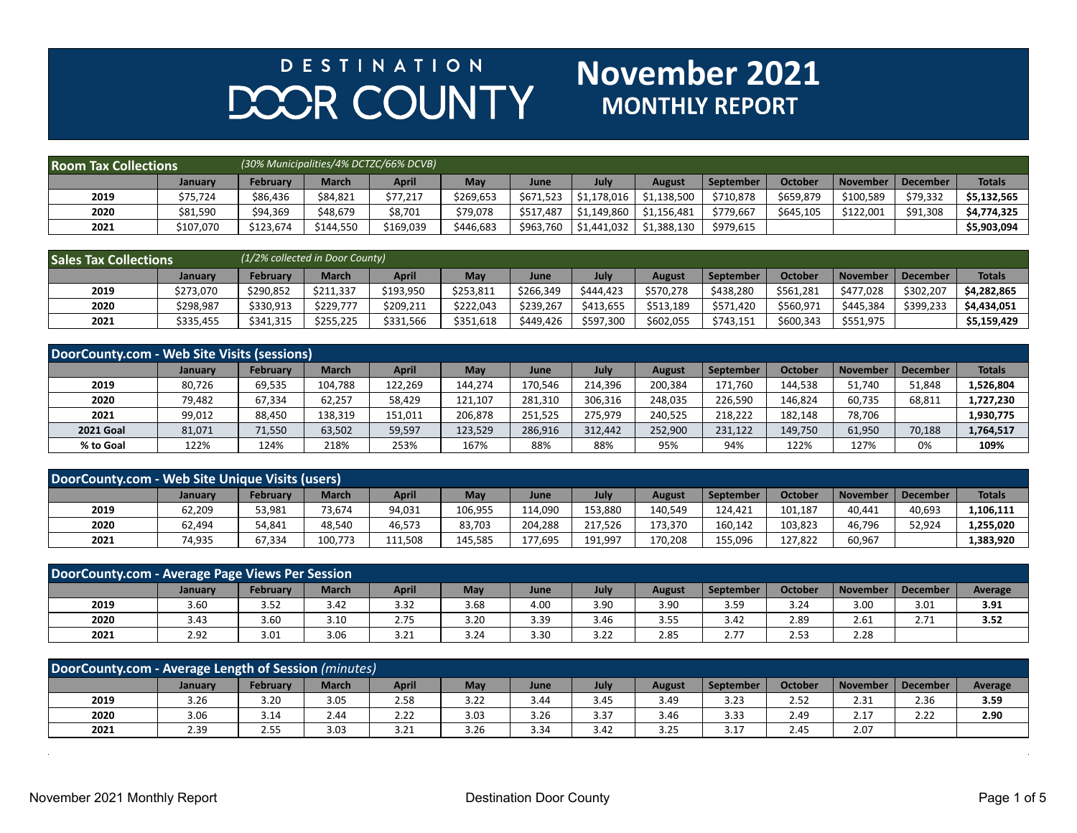## **DESTINATION** DOOR COUNTY

## **November 2021**<br>MONTHLY REPORT

| <b>Room Tax Collections</b> |           |           |              | (30% Municipalities/4% DCTZC/66% DCVB) |            |           |                        |               |                  |                |                 |          |               |
|-----------------------------|-----------|-----------|--------------|----------------------------------------|------------|-----------|------------------------|---------------|------------------|----------------|-----------------|----------|---------------|
|                             | January   | Februarv  | <b>March</b> | April                                  | <b>May</b> | June      | July                   | <b>August</b> | <b>September</b> | <b>October</b> | <b>November</b> | December | <b>Totals</b> |
| 2019                        | \$75,724  | \$86.436  | \$84.821     | \$77.217                               | \$269.653  | \$671.523 | l \$1.178.016          | \$1,138,500   | \$710.878        | \$659.879      | \$100,589       | \$79,332 | \$5.132.565   |
| 2020                        | \$81,590  | \$94.369  | \$48.679     | នៃ,701                                 | \$79.078   | \$517.487 | $\frac{1}{51,149,860}$ | \$1,156,481   | \$779.667        | \$645,105      | \$122,001       | \$91,308 | \$4,774,325   |
| 2021                        | \$107,070 | \$123,674 | \$144,550    | \$169,039                              | \$446,683  |           |                        | \$1,388,130   | \$979,615        |                |                 |          | \$5,903,094   |

| <b>Sales Tax Collections</b> |           |           | (1/2% collected in Door County) |           |            |           |           |           |           |                |                 |                 |               |
|------------------------------|-----------|-----------|---------------------------------|-----------|------------|-----------|-----------|-----------|-----------|----------------|-----------------|-----------------|---------------|
|                              | Januarv   | February  | <b>March</b>                    | April     | <b>May</b> | June      | July      | August    | September | <b>October</b> | <b>November</b> | <b>December</b> | <b>Totals</b> |
| 2019                         | \$273.070 | \$290,852 | \$211,337                       | \$193,950 | \$253,811  | \$266,349 | \$444.423 | \$570,278 | \$438.280 | \$561,281      | \$477.028       | \$302,207       | \$4.282.865   |
| 2020                         | \$298,987 | \$330,913 | \$229.777                       | \$209,211 | \$222.043  | \$239,267 | \$413.655 | \$513,189 | \$571,420 | \$560,971      | \$445.384       | \$399,233       | \$4,434,051   |
| 2021                         | \$335,455 | \$341,315 | \$255,225                       | \$331,566 | \$351,618  | \$449,426 | \$597,300 | \$602,055 | \$743,151 | \$600,343      | \$551,975       |                 | \$5,159,429   |

| DoorCounty.com - Web Site Visits (sessions) |                |                 |              |              |         |         |         |               |           |                |                 |                 |               |
|---------------------------------------------|----------------|-----------------|--------------|--------------|---------|---------|---------|---------------|-----------|----------------|-----------------|-----------------|---------------|
|                                             | <b>January</b> | <b>February</b> | <b>March</b> | <b>April</b> | May     | June    | July    | <b>August</b> | September | <b>October</b> | <b>November</b> | <b>December</b> | <b>Totals</b> |
| 2019                                        | 80,726         | 69,535          | 104,788      | 122,269      | 144.274 | 170,546 | 214.396 | 200,384       | 171,760   | 144,538        | 51,740          | 51,848          | 1,526,804     |
| 2020                                        | 79,482         | 67,334          | 62,257       | 58,429       | 121,107 | 281,310 | 306,316 | 248,035       | 226,590   | 146,824        | 60,735          | 68,811          | 1,727,230     |
| 2021                                        | 99,012         | 88,450          | 138,319      | 151,011      | 206,878 | 251.525 | 275,979 | 240,525       | 218,222   | 182.148        | 78,706          |                 | 1,930,775     |
| <b>2021 Goal</b>                            | 81,071         | 71,550          | 63,502       | 59,597       | 123,529 | 286,916 | 312.442 | 252,900       | 231,122   | 149,750        | 61,950          | 70,188          | 1,764,517     |
| % to Goal                                   | 122%           | 124%            | 218%         | 253%         | 167%    | 88%     | 88%     | 95%           | 94%       | 122%           | 127%            | 0%              | 109%          |

| DoorCounty.com - Web Site Unique Visits (users) |         |          |              |              |         |         |         |         |           |         |                 |          |               |
|-------------------------------------------------|---------|----------|--------------|--------------|---------|---------|---------|---------|-----------|---------|-----------------|----------|---------------|
|                                                 | January | February | <b>March</b> | <b>April</b> | May     | June    | July    | August  | September | October | <b>November</b> | December | <b>Totals</b> |
| 2019                                            | 62,209  | 53,981   | 73,674       | 94,031       | 106,955 | 114.090 | 153,880 | 140.549 | 124.421   | 101.187 | 40.441          | 40,693   | L,106,111     |
| 2020                                            | 52,494  | 54,841   | 48,540       | 46,573       | 83,703  | 204.288 | 217.526 | 173,370 | 160.142   | 103,823 | 46.796          | 52,924   | 1,255,020     |
| 2021                                            | 74,935  | 67,334   | 100.773      | 111,508      | 145.585 | 177,695 | 191.997 | 170.208 | 155,096   | 127,822 | 60,967          |          | 1,383,920     |

| DoorCounty.com - Average Page Views Per Session                                                                                                    |      |      |      |      |      |      |      |      |      |      |      |                   |                |
|----------------------------------------------------------------------------------------------------------------------------------------------------|------|------|------|------|------|------|------|------|------|------|------|-------------------|----------------|
| April<br><b>October</b><br><b>March</b><br><b>February</b><br>July<br>May<br><b>September</b><br>December<br>November<br>June<br>August<br>January |      |      |      |      |      |      |      |      |      |      |      |                   | <b>Average</b> |
| 2019                                                                                                                                               | 3.60 | 3.52 | 3.42 | 3.32 | 3.68 | 4.00 | 3.90 | 3.90 | 3.59 | 3.24 | 3.00 | 3.01              | 3.91           |
| 2020                                                                                                                                               | 3.43 | 3.60 | 3.10 | 2.75 | 3.20 | 3.39 | 3.46 | 3.55 | 3.42 | 2.89 | 2.61 | 74<br><u>2.11</u> | 3.52           |
| 2021                                                                                                                                               | 2.92 | 3.01 | 3.06 | 3.21 | 3.24 | 3.30 | 3.22 | 2.85 | 2.77 | 2.53 | 2.28 |                   |                |

| DoorCounty.com - Average Length of Session (minutes) |                |                 |              |              |      |      |      |               |                  |                |                    |                 |         |
|------------------------------------------------------|----------------|-----------------|--------------|--------------|------|------|------|---------------|------------------|----------------|--------------------|-----------------|---------|
|                                                      | <b>January</b> | <b>February</b> | <b>March</b> | <b>April</b> | May  | June | July | <b>August</b> | <b>September</b> | <b>October</b> | November           | <b>December</b> | Average |
| 2019                                                 | 3.26           | 3.20            | 3.05         | 2.58         | 3.22 | 3.44 | 3.45 | 3.49          | 3.23             | 2.52           | 2.31               | 2.36            | 3.59    |
| 2020                                                 | 3.06           | 3.14            | 2.44         | 2.22         | 3.03 | 3.26 | 3.37 | 3.46          | 3.33             | 2.49           | 17<br><u> 2. l</u> | 22<br>2.22      | 2.90    |
| 2021                                                 | 2.39           | 2.55            | 3.03         | 3.21         | 3.26 | 3.34 | 3.42 | 3.25          | 3.17             | 2.45           | 2.07               |                 |         |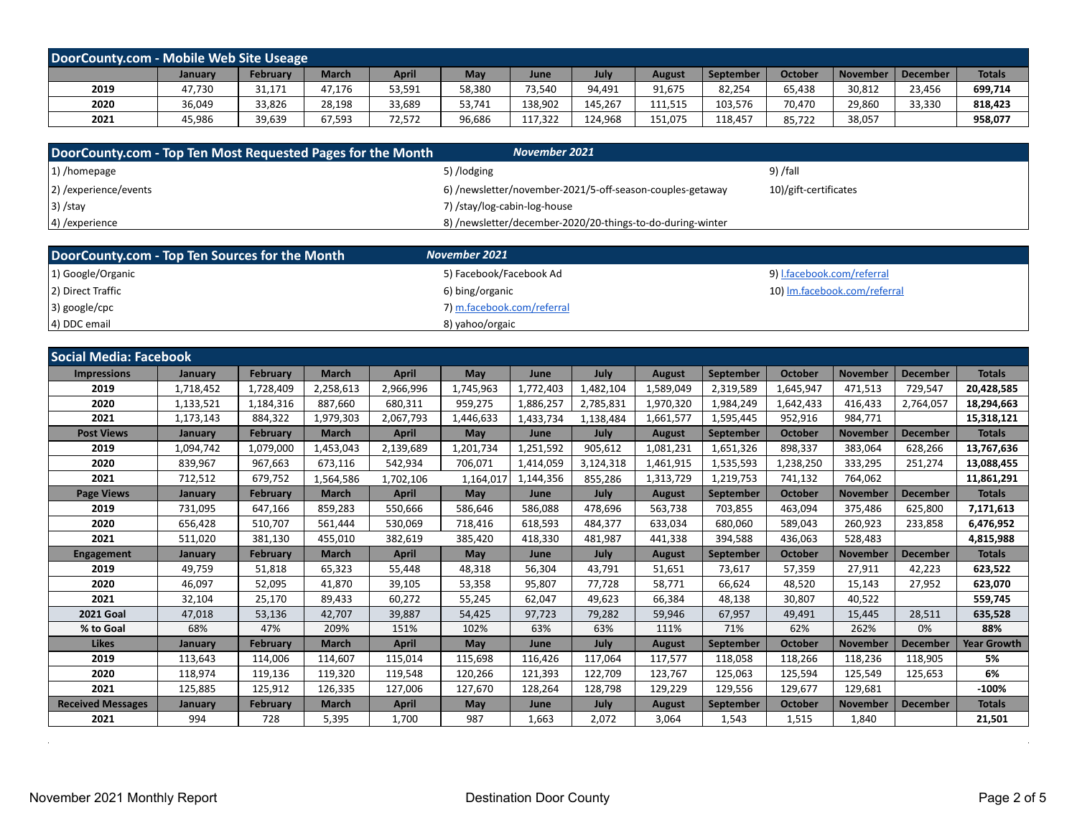| DoorCounty.com - Mobile Web Site Useage |         |                 |              |        |        |         |         |         |           |                |                 |                 |               |
|-----------------------------------------|---------|-----------------|--------------|--------|--------|---------|---------|---------|-----------|----------------|-----------------|-----------------|---------------|
|                                         | January | <b>February</b> | <b>March</b> | April  | May    | June    | July    | August  | September | <b>October</b> | <b>November</b> | <b>December</b> | <b>Totals</b> |
| 2019                                    | 47,730  | 31,171          | 47,176       | 53,591 | 58,380 | 73,540  | 94,491  | 91,675  | 82,254    | 65,438         | 30,812          | 23,456          | 699,714       |
| 2020                                    | 36,049  | 33,826          | 28,198       | 33,689 | 53,741 | 138,902 | 145,267 | 111,515 | 103,576   | 70,470         | 29,860          | 33,330          | 818,423       |
| 2021                                    | 45,986  | 39,639          | 67,593       | 72,572 | 96,686 | 117,322 | 124.968 | 151,075 | 118,457   | 85,722         | 38,057          |                 | 958,077       |

| DoorCounty.com - Top Ten Most Requested Pages for the Month | November 2021                                              |                       |
|-------------------------------------------------------------|------------------------------------------------------------|-----------------------|
| 1) /homepage                                                | 5) /lodging                                                | 9) /fall              |
| 2) / experience/events                                      | 6) /newsletter/november-2021/5-off-season-couples-getaway  | 10)/gift-certificates |
| $3)$ /stay                                                  | 7) /stay/log-cabin-log-house                               |                       |
| $(4)$ /experience                                           | 8) /newsletter/december-2020/20-things-to-do-during-winter |                       |

| DoorCounty.com - Top Ten Sources for the Month | November 2021              |                              |
|------------------------------------------------|----------------------------|------------------------------|
| 1) Google/Organic                              | 5) Facebook/Facebook Ad    | 9) I.facebook.com/referral   |
| 2) Direct Traffic                              | 6) bing/organic            | 10) Im.facebook.com/referral |
| $ 3)$ google/cpc                               | 7) m.facebook.com/referral |                              |
| 4) DDC email                                   | 8) yahoo/orgaic            |                              |

| <b>Social Media: Facebook</b> |                |                 |              |              |           |           |           |               |                  |                |                 |                 |                    |
|-------------------------------|----------------|-----------------|--------------|--------------|-----------|-----------|-----------|---------------|------------------|----------------|-----------------|-----------------|--------------------|
| <b>Impressions</b>            | January        | February        | <b>March</b> | <b>April</b> | May       | June      | July      | <b>August</b> | <b>September</b> | <b>October</b> | <b>November</b> | <b>December</b> | <b>Totals</b>      |
| 2019                          | 1,718,452      | 1,728,409       | 2,258,613    | 2,966,996    | 1,745,963 | 1,772,403 | 1,482,104 | 1,589,049     | 2,319,589        | 1,645,947      | 471,513         | 729,547         | 20,428,585         |
| 2020                          | 1,133,521      | 1,184,316       | 887,660      | 680,311      | 959,275   | 1,886,257 | 2,785,831 | 1,970,320     | 1,984,249        | 1,642,433      | 416,433         | 2,764,057       | 18,294,663         |
| 2021                          | 1,173,143      | 884,322         | 1,979,303    | 2,067,793    | 1,446,633 | 1,433,734 | 1,138,484 | 1,661,577     | 1,595,445        | 952,916        | 984,771         |                 | 15,318,121         |
| <b>Post Views</b>             | January        | <b>February</b> | <b>March</b> | <b>April</b> | May       | June      | July      | <b>August</b> | September        | <b>October</b> | <b>November</b> | <b>December</b> | <b>Totals</b>      |
| 2019                          | 1,094,742      | 1,079,000       | 1,453,043    | 2,139,689    | 1,201,734 | 1,251,592 | 905,612   | 1,081,231     | 1,651,326        | 898,337        | 383,064         | 628,266         | 13,767,636         |
| 2020                          | 839,967        | 967,663         | 673,116      | 542,934      | 706,071   | 1,414,059 | 3,124,318 | 1,461,915     | 1,535,593        | 1,238,250      | 333,295         | 251,274         | 13,088,455         |
| 2021                          | 712,512        | 679,752         | 1,564,586    | 1,702,106    | 1,164,017 | 1,144,356 | 855,286   | 1,313,729     | 1,219,753        | 741,132        | 764,062         |                 | 11,861,291         |
| <b>Page Views</b>             | January        | <b>February</b> | <b>March</b> | <b>April</b> | May       | June      | July      | <b>August</b> | September        | <b>October</b> | <b>November</b> | <b>December</b> | <b>Totals</b>      |
| 2019                          | 731,095        | 647,166         | 859,283      | 550,666      | 586,646   | 586,088   | 478,696   | 563,738       | 703,855          | 463,094        | 375,486         | 625,800         | 7,171,613          |
| 2020                          | 656,428        | 510,707         | 561.444      | 530,069      | 718,416   | 618,593   | 484.377   | 633,034       | 680.060          | 589,043        | 260,923         | 233,858         | 6,476,952          |
| 2021                          | 511,020        | 381,130         | 455,010      | 382,619      | 385,420   | 418,330   | 481,987   | 441,338       | 394,588          | 436.063        | 528,483         |                 | 4,815,988          |
| <b>Engagement</b>             | January        | February        | <b>March</b> | <b>April</b> | May       | June      | July      | <b>August</b> | September        | <b>October</b> | <b>November</b> | <b>December</b> | <b>Totals</b>      |
| 2019                          | 49,759         | 51,818          | 65,323       | 55,448       | 48,318    | 56,304    | 43,791    | 51,651        | 73,617           | 57,359         | 27,911          | 42,223          | 623,522            |
| 2020                          | 46,097         | 52,095          | 41.870       | 39,105       | 53,358    | 95,807    | 77,728    | 58,771        | 66,624           | 48,520         | 15,143          | 27,952          | 623,070            |
| 2021                          | 32,104         | 25,170          | 89,433       | 60,272       | 55,245    | 62,047    | 49.623    | 66,384        | 48,138           | 30,807         | 40,522          |                 | 559,745            |
| <b>2021 Goal</b>              | 47,018         | 53,136          | 42,707       | 39,887       | 54,425    | 97,723    | 79,282    | 59,946        | 67,957           | 49,491         | 15,445          | 28,511          | 635,528            |
| % to Goal                     | 68%            | 47%             | 209%         | 151%         | 102%      | 63%       | 63%       | 111%          | 71%              | 62%            | 262%            | 0%              | 88%                |
| <b>Likes</b>                  | <b>January</b> | <b>February</b> | <b>March</b> | <b>April</b> | May       | June      | July      | <b>August</b> | September        | <b>October</b> | <b>November</b> | <b>December</b> | <b>Year Growth</b> |
| 2019                          | 113,643        | 114,006         | 114.607      | 115,014      | 115,698   | 116,426   | 117,064   | 117,577       | 118.058          | 118,266        | 118,236         | 118,905         | 5%                 |
| 2020                          | 118,974        | 119,136         | 119,320      | 119,548      | 120,266   | 121,393   | 122,709   | 123,767       | 125,063          | 125,594        | 125,549         | 125,653         | 6%                 |
| 2021                          | 125,885        | 125,912         | 126,335      | 127,006      | 127,670   | 128,264   | 128,798   | 129,229       | 129,556          | 129,677        | 129,681         |                 | $-100%$            |
| <b>Received Messages</b>      | January        | February        | <b>March</b> | <b>April</b> | May       | June      | July      | <b>August</b> | <b>September</b> | <b>October</b> | <b>November</b> | <b>December</b> | <b>Totals</b>      |
| 2021                          | 994            | 728             | 5,395        | 1,700        | 987       | 1,663     | 2,072     | 3.064         | 1,543            | 1,515          | 1,840           |                 | 21,501             |

 $\sim$ 

 $\alpha$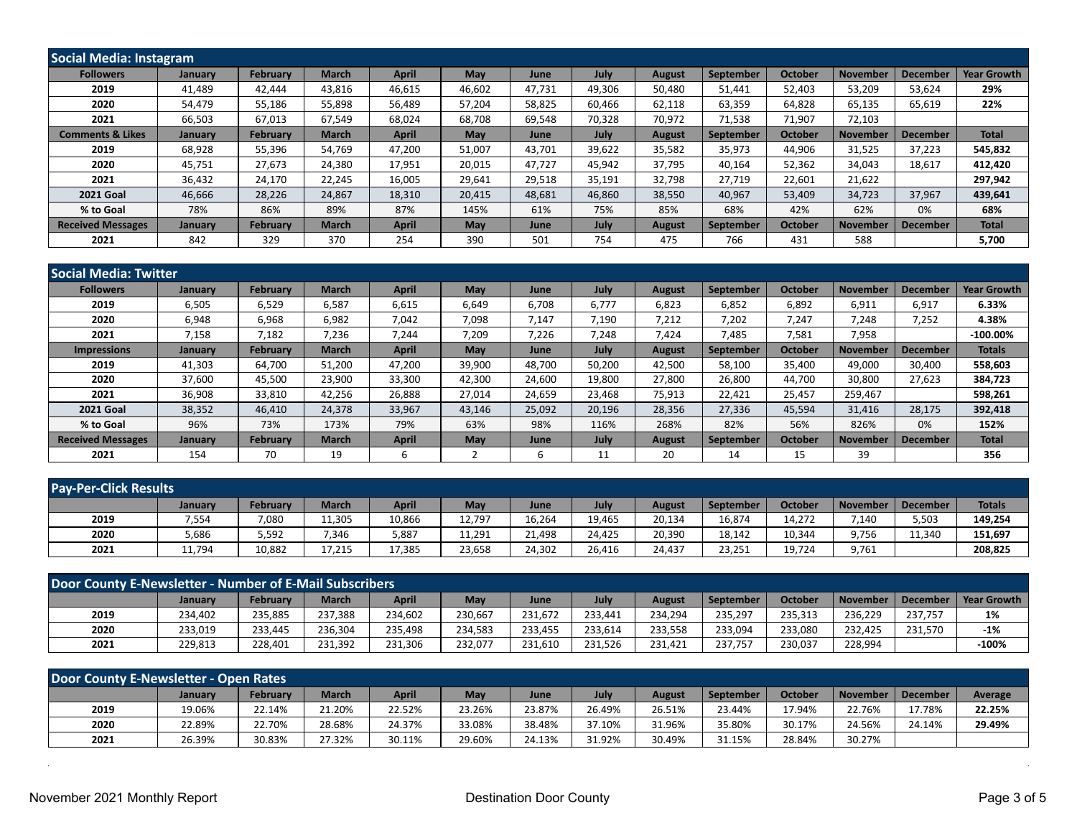| Social Media: Instagram     |         |                 |              |              |        |        |        |               |           |                |                 |                 |                    |
|-----------------------------|---------|-----------------|--------------|--------------|--------|--------|--------|---------------|-----------|----------------|-----------------|-----------------|--------------------|
| <b>Followers</b>            | January | February        | <b>March</b> | April        | May    | June   | July   | <b>August</b> | September | <b>October</b> | <b>November</b> | <b>December</b> | <b>Year Growth</b> |
| 2019                        | 41,489  | 42.444          | 43,816       | 46,615       | 46,602 | 47,731 | 49,306 | 50,480        | 51,441    | 52,403         | 53,209          | 53,624          | 29%                |
| 2020                        | 54,479  | 55,186          | 55,898       | 56,489       | 57,204 | 58,825 | 60,466 | 62,118        | 63,359    | 64,828         | 65,135          | 65,619          | 22%                |
| 2021                        | 66,503  | 67,013          | 67,549       | 68,024       | 68,708 | 69,548 | 70,328 | 70,972        | 71,538    | 71,907         | 72,103          |                 |                    |
| <b>Comments &amp; Likes</b> | January | February        | <b>March</b> | <b>April</b> | May    | June   | July   | <b>August</b> | September | <b>October</b> | <b>November</b> | <b>December</b> | <b>Total</b>       |
| 2019                        | 68,928  | 55,396          | 54.769       | 47,200       | 51,007 | 43,701 | 39,622 | 35,582        | 35,973    | 44,906         | 31,525          | 37,223          | 545,832            |
| 2020                        | 45,751  | 27,673          | 24,380       | 17,951       | 20,015 | 47,727 | 45,942 | 37,795        | 40,164    | 52,362         | 34,043          | 18,617          | 412,420            |
| 2021                        | 36,432  | 24,170          | 22,245       | 16,005       | 29,641 | 29,518 | 35,191 | 32,798        | 27,719    | 22,601         | 21,622          |                 | 297,942            |
| <b>2021 Goal</b>            | 46,666  | 28,226          | 24.867       | 18,310       | 20,415 | 48,681 | 46,860 | 38,550        | 40,967    | 53,409         | 34,723          | 37,967          | 439,641            |
| % to Goal                   | 78%     | 86%             | 89%          | 87%          | 145%   | 61%    | 75%    | 85%           | 68%       | 42%            | 62%             | 0%              | 68%                |
| <b>Received Messages</b>    | January | <b>February</b> | <b>March</b> | <b>April</b> | May    | June   | July   | <b>August</b> | September | <b>October</b> | <b>November</b> | <b>December</b> | <b>Total</b>       |
| 2021                        | 842     | 329             | 370          | 254          | 390    | 501    | 754    | 475           | 766       | 431            | 588             |                 | 5,700              |

| <b>Social Media: Twitter</b> |         |                 |              |              |            |        |             |               |                  |                |                 |                 |                    |
|------------------------------|---------|-----------------|--------------|--------------|------------|--------|-------------|---------------|------------------|----------------|-----------------|-----------------|--------------------|
| <b>Followers</b>             | January | <b>February</b> | <b>March</b> | <b>April</b> | <b>May</b> | June   | <b>July</b> | <b>August</b> | September        | <b>October</b> | <b>November</b> | <b>December</b> | <b>Year Growth</b> |
| 2019                         | 6,505   | 6,529           | 6,587        | 6,615        | 6,649      | 6,708  | 6,777       | 6,823         | 6,852            | 6,892          | 6,911           | 6,917           | 6.33%              |
| 2020                         | 6,948   | 6,968           | 6,982        | 7,042        | 7,098      | 7,147  | 7,190       | 7,212         | 7,202            | 7,247          | 7,248           | 7,252           | 4.38%              |
| 2021                         | 7,158   | 7,182           | 7,236        | 7,244        | 7,209      | 7,226  | 7,248       | 7.424         | 7.485            | 7,581          | 7,958           |                 | $-100.00\%$        |
| <b>Impressions</b>           | January | <b>February</b> | <b>March</b> | <b>April</b> | May        | June   | <b>July</b> | <b>August</b> | <b>September</b> | <b>October</b> | <b>November</b> | <b>December</b> | <b>Totals</b>      |
| 2019                         | 41,303  | 64,700          | 51,200       | 47,200       | 39,900     | 48,700 | 50,200      | 42,500        | 58,100           | 35,400         | 49,000          | 30,400          | 558,603            |
| 2020                         | 37,600  | 45,500          | 23,900       | 33,300       | 42,300     | 24,600 | 19,800      | 27,800        | 26,800           | 44,700         | 30,800          | 27,623          | 384,723            |
| 2021                         | 36,908  | 33,810          | 42,256       | 26,888       | 27,014     | 24,659 | 23,468      | 75,913        | 22,421           | 25,457         | 259,467         |                 | 598,261            |
| <b>2021 Goal</b>             | 38,352  | 46,410          | 24,378       | 33,967       | 43,146     | 25,092 | 20,196      | 28,356        | 27,336           | 45,594         | 31,416          | 28,175          | 392,418            |
| % to Goal                    | 96%     | 73%             | 173%         | 79%          | 63%        | 98%    | 116%        | 268%          | 82%              | 56%            | 826%            | 0%              | 152%               |
| <b>Received Messages</b>     | January | <b>February</b> | <b>March</b> | <b>April</b> | May        | June   | <b>July</b> | <b>August</b> | September        | <b>October</b> | <b>November</b> | <b>December</b> | <b>Total</b>       |
| 2021                         | 154     | 70              | 19           | b            |            | ь      | 11          | 20            | 14               | 15             | 39              |                 | 356                |

| <b>Pay-Per-Click Results</b> |         |          |              |              |        |        |        |               |                  |                |                 |          |               |
|------------------------------|---------|----------|--------------|--------------|--------|--------|--------|---------------|------------------|----------------|-----------------|----------|---------------|
|                              | January | February | <b>March</b> | <b>April</b> | May    | June   | July   | <b>August</b> | <b>September</b> | <b>October</b> | <b>November</b> | December | <b>Totals</b> |
| 2019                         | 7,554   | 7,080    | 11,305       | 10,866       | 12,797 | 16,264 | 19,465 | 20,134        | 16,874           | 14,272         | 7,140           | 5,503    | 149,254       |
| 2020                         | 5,686   | 5,592    | 7.346        | 5,887        | 11,291 | 21,498 | 24.425 | 20,390        | 18,142           | 10,344         | 9,756           | 11.340   | 151,697       |
| 2021                         | 11,794  | 10,882   | 17.215       | 17,385       | 23,658 | 24,302 | 26.416 | 24.437        | 23,251           | 19,724         | 9,761           |          | 208,825       |

| Door County E-Newsletter - Number of E-Mail Subscribers |                |          |              |              |         |         |         |         |                  |                |                 |          |                    |
|---------------------------------------------------------|----------------|----------|--------------|--------------|---------|---------|---------|---------|------------------|----------------|-----------------|----------|--------------------|
|                                                         | <b>January</b> | February | <b>March</b> | <b>April</b> | May     | June    | July    | August  | <b>September</b> | <b>October</b> | <b>November</b> | December | <b>Year Growth</b> |
| 2019                                                    | 234.402        | 235,885  | 237,388      | 234,602      | 230,667 | 231.672 | 233.441 | 234,294 | 235,297          | 235,313        | 236.229         | 237.757  | 1%                 |
| 2020                                                    | 233,019        | 233,445  | 236,304      | 235.498      | 234,583 | 233.455 | 233.614 | 233,558 | 233.094          | 233,080        | 232.425         | 231,570  | $-1%$              |
| 2021                                                    | 229,813        | 228,401  | 231.392      | 231,306      | 232,077 | 231,610 | 231.526 | 231.421 | 237.757          | 230,037        | 228,994         |          | $-100%$            |

| Door County E-Newsletter - Open Rates |         |                 |              |              |        |        |        |        |           |                |                 |                 |         |
|---------------------------------------|---------|-----------------|--------------|--------------|--------|--------|--------|--------|-----------|----------------|-----------------|-----------------|---------|
|                                       | January | <b>February</b> | <b>March</b> | <b>April</b> | May    | June   | July   | August | September | <b>October</b> | <b>November</b> | <b>December</b> | Average |
| 2019                                  | 19.06%  | 22.14%          | 21.20%       | 22.52%       | 23.26% | 23.87% | 26.49% | 26.51% | 23.44%    | 17.94%         | 22.76%          | 17.78%          | 22.25%  |
| 2020                                  | 22.89%  | 22.70%          | 28.68%       | 24.37%       | 33.08% | 38.48% | 37.10% | 31.96% | 35.80%    | 30.17%         | 24.56%          | 24.14%          | 29.49%  |
| 2021                                  | 26.39%  | 30.83%          | 27.32%       | 30.11%       | 29.60% | 24.13% | 31.92% | 30.49% | 31.15%    | 28.84%         | 30.27%          |                 |         |

 $\bar{z}$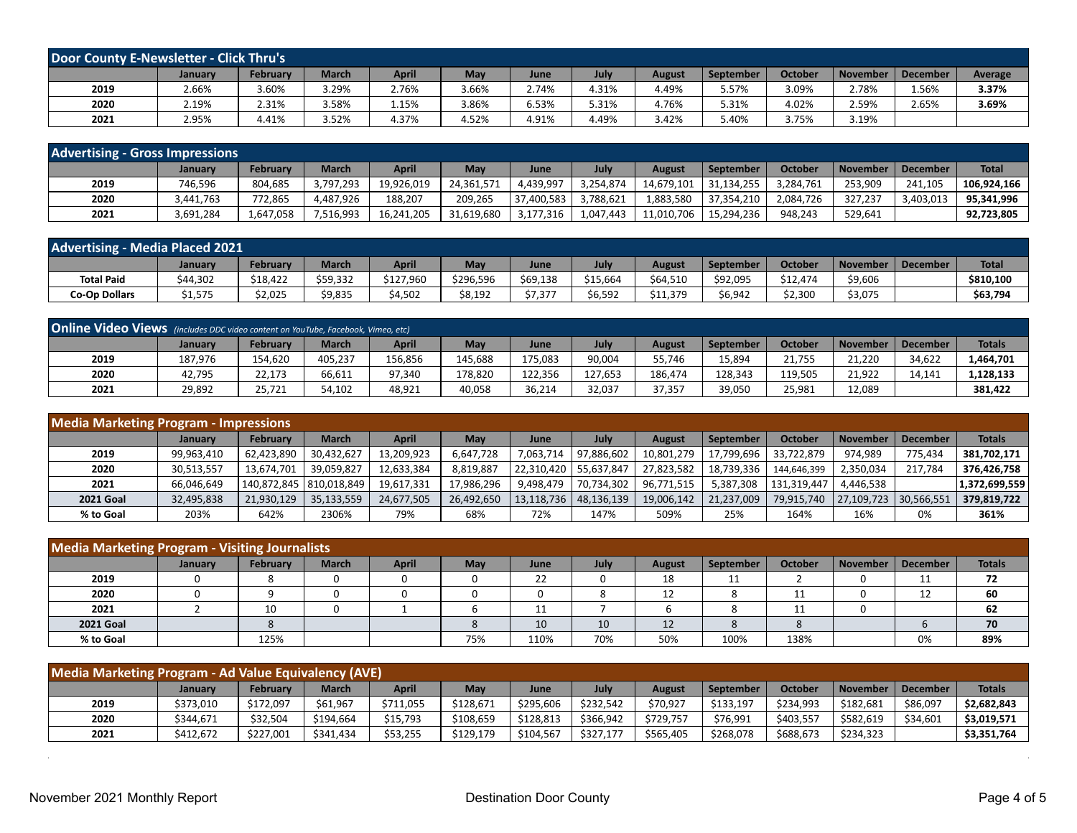| <b>Door County E-Newsletter - Click Thru's</b> |         |          |              |              |       |       |       |        |                  |                |          |          |         |
|------------------------------------------------|---------|----------|--------------|--------------|-------|-------|-------|--------|------------------|----------------|----------|----------|---------|
|                                                | January | February | <b>March</b> | <b>April</b> | May   | June  | July  | August | <b>September</b> | <b>October</b> | November | December | Average |
| 2019                                           | 2.66%   | 3.60%    | 29%،         | 2.76%        | 3.66% | 2.74% | 4.31% | 4.49%  | 5.57%            | 3.09%          | 2.78%    | 1.56%    | 3.37%   |
| 2020                                           | 2.19%   | 2.31%    | 3.58%        | 1.15%        | 3.86% | 6.53% | 5.31% | 4.76%  | 5.31%            | 4.02%          | 2.59%    | 2.65%    | 3.69%   |
| 2021                                           | 2.95%   | 4.41%    | 52%،         | 4.37%        | 4.52% | 4.91% | 4.49% | 3.42%  | 5.40%            | 3.75%          | 3.19%    |          |         |

| <b>Advertising - Gross Impressions</b> |           |                 |              |              |            |            |           |               |                  |                |                 |                 |              |
|----------------------------------------|-----------|-----------------|--------------|--------------|------------|------------|-----------|---------------|------------------|----------------|-----------------|-----------------|--------------|
|                                        | January   | <b>February</b> | <b>March</b> | <b>April</b> | <b>May</b> | June       | July      | <b>August</b> | <b>September</b> | <b>October</b> | <b>November</b> | <b>December</b> | <b>Total</b> |
| 2019                                   | 746,596   | 804,685         | 3.797.293    | 19,926,019   | 24,361,571 | 4,439,997  | 3.254.874 | 14,679,101    | 31.134.255       | 3.284.761      | 253,909         | 241.105         | 106.924.166  |
| 2020                                   | 3,441,763 | 772.865         | .487.926     | 188,207      | 209,265    | 37,400,583 | 3.788.621 | 1,883,580     | 37,354,210       | 2,084,726      | 327.237         | 3,403,013       | 95,341,996   |
| 2021                                   | 3,691,284 | L,647,058       | 7,516,993    | 16,241,205   | 31,619,680 | 3,177,316  | 1,047,443 | 11,010,706    | 15.294.236       | 948.243        | 529,641         |                 | 92,723,805   |

| <b>Advertising - Media Placed 2021</b> |          |          |              |              |            |          |          |               |                  |                |          |          |              |
|----------------------------------------|----------|----------|--------------|--------------|------------|----------|----------|---------------|------------------|----------------|----------|----------|--------------|
|                                        | January  | February | <b>March</b> | <b>April</b> | <b>May</b> | June     | July     | <b>August</b> | <b>September</b> | <b>October</b> | November | December | <b>Total</b> |
| <b>Total Paid</b>                      | \$44,302 | \$18,422 | \$59,332     | \$127,960    | \$296,596  | \$69,138 | \$15,664 | \$64,510      | \$92,095         | \$12,474       | \$9,606  |          | \$810,100    |
| <b>Co-Op Dollars</b>                   | 1,575د   | \$2,025  | \$9,835      | \$4,502      | \$8,192    | \$7,377  | \$6,592  | \$11,379      | \$6,942          | \$2.300        | \$3,075  |          | \$63,794     |

| <b>Online Video Views</b> (includes DDC video content on YouTube, Facebook, Vimeo, etc) |         |          |              |              |         |         |         |               |                  |                |                 |                 |               |
|-----------------------------------------------------------------------------------------|---------|----------|--------------|--------------|---------|---------|---------|---------------|------------------|----------------|-----------------|-----------------|---------------|
|                                                                                         | January | February | <b>March</b> | <b>April</b> | May     | June    | July    | <b>August</b> | <b>September</b> | <b>October</b> | <b>November</b> | <b>December</b> | <b>Totals</b> |
| 2019                                                                                    | 187,976 | 154.620  | 405.237      | 156,856      | 145,688 | 175,083 | 90,004  | 55,746        | 15,894           | 21.755         | 21.220          | 34,622          | 1,464,701     |
| 2020                                                                                    | 42,795  | 22.173   | 66.611       | 97.340       | 178,820 | 122.356 | 127.653 | 186.474       | 128,343          | 119,505        | 21.922          | 14.141          | .,128,133     |
| 2021                                                                                    | 29.892  | 25.721   | 54.102       | 48,921       | 40.058  | 36.214  | 32,037  | 37,357        | 39,050           | 25.981         | 12.089          |                 | 381.422       |

| <b>Media Marketing Program - Impressions</b> |            |            |                           |              |            |            |            |            |            |                |                 |                 |               |
|----------------------------------------------|------------|------------|---------------------------|--------------|------------|------------|------------|------------|------------|----------------|-----------------|-----------------|---------------|
|                                              | January    | February   | <b>March</b>              | <b>April</b> | <b>May</b> | June       | July       | August     | September  | <b>October</b> | <b>November</b> | <b>December</b> | <b>Totals</b> |
| 2019                                         | 99.963.410 | 62.423.890 | 30.432.627                | 13,209,923   | 6,647,728  | 7,063,714  | 97,886,602 | 10,801,279 | 17,799,696 | 33.722.879     | 974.989         | 775.434         | 381,702,171   |
| 2020                                         | 30,513,557 | 13.674.701 | 39.059.827                | 12,633,384   | 8,819,887  | 22.310.420 | 55.637.847 | 27,823,582 | 18,739,336 | 144,646,399    | 2,350,034       | 217.784         | 376.426.758   |
| 2021                                         | 66,046,649 |            | 140,872,845   810,018,849 | 19,617,331   | 17,986,296 | 9,498,479  | 70,734,302 | 96,771,515 | 5,387,308  | 131.319.447    | 4,446,538       |                 | 1,372,699,559 |
| <b>2021 Goal</b>                             | 32,495,838 | 21,930,129 | 35,133,559                | 24,677,505   | 26,492,650 | 13,118,736 | 48,136,139 | 19,006,142 | 21,237,009 | 79,915,740     | 27,109,723      | 30,566,551      | 379,819,722   |
| % to Goal                                    | 203%       | 642%       | 2306%                     | 79%          | 68%        | 72%        | 147%       | 509%       | 25%        | 164%           | 16%             | 0%              | 361%          |

| <b>Media Marketing Program - Visiting Journalists</b> |         |          |              |              |     |      |      |               |           |                |          |                 |               |
|-------------------------------------------------------|---------|----------|--------------|--------------|-----|------|------|---------------|-----------|----------------|----------|-----------------|---------------|
|                                                       | January | February | <b>March</b> | <b>April</b> | May | June | July | <b>August</b> | September | <b>October</b> | November | <b>December</b> | <b>Totals</b> |
| 2019                                                  |         |          |              |              |     | 22   |      | 18            | 11        |                |          | <b>. .</b>      | 72            |
| 2020                                                  |         |          |              |              |     |      |      | 12            |           | 11<br>ᆠ        |          | ᆠ               | 60            |
| 2021                                                  |         | 10       |              |              |     | ᅩ    |      |               |           | ᆠ              |          |                 | 62            |
| <b>2021 Goal</b>                                      |         |          |              |              |     | 10   | 10   | 12            |           |                |          |                 | 70            |
| % to Goal                                             |         | 125%     |              |              | 75% | 110% | 70%  | 50%           | 100%      | 138%           |          | 0%              | 89%           |

| Media Marketing Program - Ad Value Equivalency (AVE) |           |           |              |           |           |           |           |               |           |                |           |                 |               |
|------------------------------------------------------|-----------|-----------|--------------|-----------|-----------|-----------|-----------|---------------|-----------|----------------|-----------|-----------------|---------------|
|                                                      | January   | February  | <b>March</b> | April     | May       | June      | July      | <b>August</b> | September | <b>October</b> | November  | <b>December</b> | <b>Totals</b> |
| 2019                                                 | \$373,010 | \$172,097 | \$61,967     | \$711,055 | \$128,671 | \$295,606 | \$232,542 | \$70,927      | \$133,197 | \$234,993      | \$182,681 | \$86,097        | \$2,682,843   |
| 2020                                                 | \$344,671 | \$32,504  | \$194.664    | \$15,793  | \$108.659 | \$128.813 | \$366.942 | \$729,757     | \$76,991  | \$403,557      | \$582,619 | \$34,601        | \$3,019,571   |
| 2021                                                 | \$412,672 | \$227.001 | \$341.434    | \$53,255  | \$129.179 | \$104,567 | \$327.177 | \$565,405     | \$268,078 | \$688,673      | \$234.323 |                 | \$3,351,764   |

 $\ddot{\phantom{a}}$